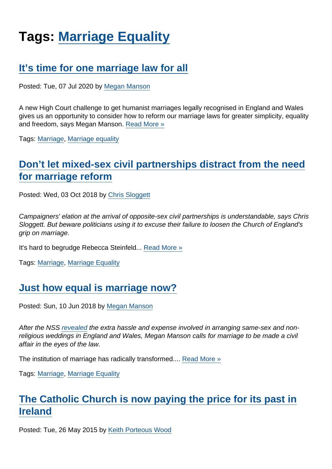# Tags: [Marriage Equality](https://www.secularism.org.uk/opinion/tags/Marriage+Equality)

# [It's time for one marriage law for all](https://www.secularism.org.uk/opinion/2020/07/its-time-for-one-marriage-law-for-all)

Posted: Tue, 07 Jul 2020 by [Megan Manson](https://www.secularism.org.uk/opinion/authors/971)

A new High Court challenge to get humanist marriages legally recognised in England and Wales gives us an opportunity to consider how to reform our marriage laws for greater simplicity, equality and freedom, says Megan Manson. [Read More »](https://www.secularism.org.uk/opinion/2020/07/its-time-for-one-marriage-law-for-all)

Tags: [Marriage,](https://www.secularism.org.uk/opinion/tags/Marriage) [Marriage equality](https://www.secularism.org.uk/opinion/tags/Marriage+equality)

# [Don't let mixed-sex civil partnerships distract from the need](https://www.secularism.org.uk/opinion/2018/10/dont-let-mixed-sex-civil-partnerships-distract-from-the-need-for-marriage-reform) [for marriage reform](https://www.secularism.org.uk/opinion/2018/10/dont-let-mixed-sex-civil-partnerships-distract-from-the-need-for-marriage-reform)

Posted: Wed, 03 Oct 2018 by [Chris Sloggett](https://www.secularism.org.uk/opinion/authors/968)

Campaigners' elation at the arrival of opposite-sex civil partnerships is understandable, says Chris Sloggett. But beware politicians using it to excuse their failure to loosen the Church of England's grip on marriage.

It's hard to begrudge Rebecca Steinfeld... [Read More »](https://www.secularism.org.uk/opinion/2018/10/dont-let-mixed-sex-civil-partnerships-distract-from-the-need-for-marriage-reform)

Tags: [Marriage,](https://www.secularism.org.uk/opinion/tags/Marriage) [Marriage Equality](https://www.secularism.org.uk/opinion/tags/Marriage+Equality)

#### [Just how equal is marriage now?](https://www.secularism.org.uk/opinion/2018/06/just-how-equal-is-marriage-now)

Posted: Sun, 10 Jun 2018 by [Megan Manson](https://www.secularism.org.uk/opinion/authors/971)

After the NSS [revealed](https://www.secularism.org.uk/{%ROOTURL}news/2018/06/nss-legal-reform-needed-to-tackle-marriage-provision-inequalities) the extra hassle and expense involved in arranging same-sex and nonreligious weddings in England and Wales, Megan Manson calls for marriage to be made a civil affair in the eyes of the law.

The institution of marriage has radically transformed.... [Read More »](https://www.secularism.org.uk/opinion/2018/06/just-how-equal-is-marriage-now)

Tags: [Marriage,](https://www.secularism.org.uk/opinion/tags/Marriage) [Marriage Equality](https://www.secularism.org.uk/opinion/tags/Marriage+Equality)

# [The Catholic Church is now paying the price for its past in](https://www.secularism.org.uk/opinion/2015/05/the-catholic-church-is-now-paying-the-price-for-its-past-in-ireland) [Ireland](https://www.secularism.org.uk/opinion/2015/05/the-catholic-church-is-now-paying-the-price-for-its-past-in-ireland)

Posted: Tue, 26 May 2015 by [Keith Porteous Wood](https://www.secularism.org.uk/opinion/authors/852)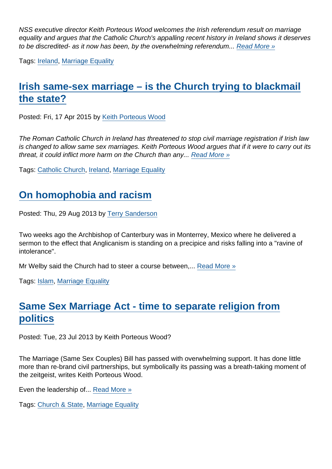NSS executive director Keith Porteous Wood welcomes the Irish referendum result on marriage equality and argues that the Catholic Church's appalling recent history in Ireland shows it deserves to be discredited- as it now has been, by the overwhelming referendum... [Read More »](https://www.secularism.org.uk/opinion/2015/05/the-catholic-church-is-now-paying-the-price-for-its-past-in-ireland)

Tags: [Ireland](https://www.secularism.org.uk/opinion/tags/Ireland), [Marriage Equality](https://www.secularism.org.uk/opinion/tags/Marriage+Equality)

# [Irish same-sex marriage – is the Church trying to blackmail](https://www.secularism.org.uk/opinion/2015/04/irish-same-sex-marriage-is-the-church-trying-to-blackmail-the-state) [the state?](https://www.secularism.org.uk/opinion/2015/04/irish-same-sex-marriage-is-the-church-trying-to-blackmail-the-state)

Posted: Fri, 17 Apr 2015 by [Keith Porteous Wood](https://www.secularism.org.uk/opinion/authors/852)

The Roman Catholic Church in Ireland has threatened to stop civil marriage registration if Irish law is changed to allow same sex marriages. Keith Porteous Wood argues that if it were to carry out its threat, it could inflict more harm on the Church than any... [Read More »](https://www.secularism.org.uk/opinion/2015/04/irish-same-sex-marriage-is-the-church-trying-to-blackmail-the-state)

Tags: [Catholic Church,](https://www.secularism.org.uk/opinion/tags/Catholic+Church) [Ireland](https://www.secularism.org.uk/opinion/tags/Ireland), [Marriage Equality](https://www.secularism.org.uk/opinion/tags/Marriage+Equality)

#### [On homophobia and racism](https://www.secularism.org.uk/opinion/2013/08/on-homophobia-and-racism)

Posted: Thu, 29 Aug 2013 by [Terry Sanderson](https://www.secularism.org.uk/opinion/authors/850)

Two weeks ago the Archbishop of Canterbury was in Monterrey, Mexico where he delivered a sermon to the effect that Anglicanism is standing on a precipice and risks falling into a "ravine of intolerance".

Mr Welby said the Church had to steer a course between,... [Read More »](https://www.secularism.org.uk/opinion/2013/08/on-homophobia-and-racism)

Tags: [Islam](https://www.secularism.org.uk/opinion/tags/Islam), [Marriage Equality](https://www.secularism.org.uk/opinion/tags/Marriage+Equality)

# [Same Sex Marriage Act - time to separate religion from](https://www.secularism.org.uk/opinion/2013/07/same-sex-marriage-act-time-to-separate-religion-from-politics) [politics](https://www.secularism.org.uk/opinion/2013/07/same-sex-marriage-act-time-to-separate-religion-from-politics)

Posted: Tue, 23 Jul 2013 by Keith Porteous Wood?

The Marriage (Same Sex Couples) Bill has passed with overwhelming support. It has done little more than re-brand civil partnerships, but symbolically its passing was a breath-taking moment of the zeitgeist, writes Keith Porteous Wood.

Even the leadership of... [Read More »](https://www.secularism.org.uk/opinion/2013/07/same-sex-marriage-act-time-to-separate-religion-from-politics)

Tags: [Church & State,](https://www.secularism.org.uk/opinion/tags/Church+&+State) [Marriage Equality](https://www.secularism.org.uk/opinion/tags/Marriage+Equality)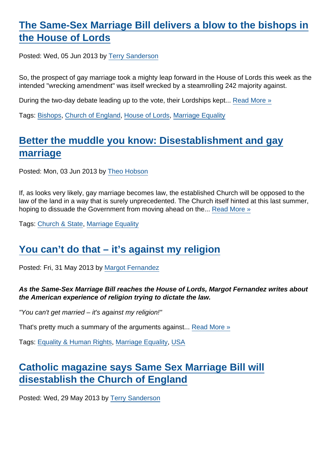# [The Same-Sex Marriage Bill delivers a blow to the bishops in](https://www.secularism.org.uk/opinion/2013/06/the-same-sex-marriage-bill-delivers-a-blow-to-the-bishops-in-the-house-of-lords) [the House of Lords](https://www.secularism.org.uk/opinion/2013/06/the-same-sex-marriage-bill-delivers-a-blow-to-the-bishops-in-the-house-of-lords)

Posted: Wed, 05 Jun 2013 by [Terry Sanderson](https://www.secularism.org.uk/opinion/authors/850)

So, the prospect of gay marriage took a mighty leap forward in the House of Lords this week as the intended "wrecking amendment" was itself wrecked by a steamrolling 242 majority against.

During the two-day debate leading up to the vote, their Lordships kept... [Read More »](https://www.secularism.org.uk/opinion/2013/06/the-same-sex-marriage-bill-delivers-a-blow-to-the-bishops-in-the-house-of-lords)

Tags: [Bishops](https://www.secularism.org.uk/opinion/tags/Bishops), [Church of England](https://www.secularism.org.uk/opinion/tags/Church+of+England), [House of Lords](https://www.secularism.org.uk/opinion/tags/House+of+Lords), [Marriage Equality](https://www.secularism.org.uk/opinion/tags/Marriage+Equality)

### [Better the muddle you know: Disestablishment and gay](https://www.secularism.org.uk/opinion/2013/06/better-the-muddle-you-know-disestablishment-and-gay-marriage) [marriage](https://www.secularism.org.uk/opinion/2013/06/better-the-muddle-you-know-disestablishment-and-gay-marriage)

Posted: Mon, 03 Jun 2013 by [Theo Hobson](https://www.secularism.org.uk/opinion/authors/966)

If, as looks very likely, gay marriage becomes law, the established Church will be opposed to the law of the land in a way that is surely unprecedented. The Church itself hinted at this last summer, hoping to dissuade the Government from moving ahead on the... [Read More »](https://www.secularism.org.uk/opinion/2013/06/better-the-muddle-you-know-disestablishment-and-gay-marriage)

Tags: [Church & State,](https://www.secularism.org.uk/opinion/tags/Church+&+State) [Marriage Equality](https://www.secularism.org.uk/opinion/tags/Marriage+Equality)

### [You can't do that – it's against my religion](https://www.secularism.org.uk/opinion/2013/05/you-cant-do-that-its-against-my-religion)

Posted: Fri, 31 May 2013 by [Margot Fernandez](https://www.secularism.org.uk/opinion/authors/934)

As the Same-Sex Marriage Bill reaches the House of Lords, Margot Fernandez writes about the American experience of religion trying to dictate the law.

"You can't get married – it's against my religion!"

That's pretty much a summary of the arguments against... [Read More »](https://www.secularism.org.uk/opinion/2013/05/you-cant-do-that-its-against-my-religion)

Tags: [Equality & Human Rights,](https://www.secularism.org.uk/opinion/tags/Equality+&+Human+Rights) [Marriage Equality,](https://www.secularism.org.uk/opinion/tags/Marriage+Equality) [USA](https://www.secularism.org.uk/opinion/tags/USA)

# [Catholic magazine says Same Sex Marriage Bill will](https://www.secularism.org.uk/opinion/2013/05/catholic-magazine-says-same-sex-marriage-bill-will-disestablish-the-church-of-england) [disestablish the Church of England](https://www.secularism.org.uk/opinion/2013/05/catholic-magazine-says-same-sex-marriage-bill-will-disestablish-the-church-of-england)

Posted: Wed, 29 May 2013 by [Terry Sanderson](https://www.secularism.org.uk/opinion/authors/850)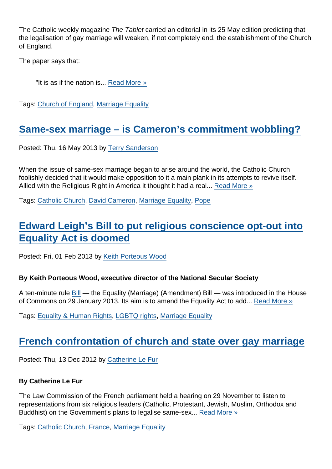The Catholic weekly magazine The Tablet carried an editorial in its 25 May edition predicting that the legalisation of gay marriage will weaken, if not completely end, the establishment of the Church of England.

The paper says that:

"It is as if the nation is... [Read More »](https://www.secularism.org.uk/opinion/2013/05/catholic-magazine-says-same-sex-marriage-bill-will-disestablish-the-church-of-england)

Tags: [Church of England,](https://www.secularism.org.uk/opinion/tags/Church+of+England) [Marriage Equality](https://www.secularism.org.uk/opinion/tags/Marriage+Equality)

# [Same-sex marriage – is Cameron's commitment wobbling?](https://www.secularism.org.uk/opinion/2013/05/same-sex-marriage-is-camerons-commitment-wobbling)

Posted: Thu, 16 May 2013 by [Terry Sanderson](https://www.secularism.org.uk/opinion/authors/850)

When the issue of same-sex marriage began to arise around the world, the Catholic Church foolishly decided that it would make opposition to it a main plank in its attempts to revive itself. Allied with the Religious Right in America it thought it had a real... [Read More »](https://www.secularism.org.uk/opinion/2013/05/same-sex-marriage-is-camerons-commitment-wobbling)

Tags: [Catholic Church,](https://www.secularism.org.uk/opinion/tags/Catholic+Church) [David Cameron,](https://www.secularism.org.uk/opinion/tags/David+Cameron) [Marriage Equality,](https://www.secularism.org.uk/opinion/tags/Marriage+Equality) [Pope](https://www.secularism.org.uk/opinion/tags/Pope)

### [Edward Leigh's Bill to put religious conscience opt-out into](https://www.secularism.org.uk/opinion/2013/02/edward-leighs-bill-to-put-religious-conscience-opt-out-into-equality-act-is-doomed) [Equality Act is doomed](https://www.secularism.org.uk/opinion/2013/02/edward-leighs-bill-to-put-religious-conscience-opt-out-into-equality-act-is-doomed)

Posted: Fri, 01 Feb 2013 by [Keith Porteous Wood](https://www.secularism.org.uk/opinion/authors/852)

By Keith Porteous Wood, executive director of the National Secular Society

A ten-minute rule [Bill](http://www.publications.parliament.uk/pa/cm201213/cmhansrd/cm130129/debtext/130129-0002.htm#13012946000001) — the Equality (Marriage) (Amendment) Bill — was introduced in the House of Commons on 29 January 2013. Its aim is to amend the Equality Act to add... [Read More »](https://www.secularism.org.uk/opinion/2013/02/edward-leighs-bill-to-put-religious-conscience-opt-out-into-equality-act-is-doomed)

Tags: [Equality & Human Rights,](https://www.secularism.org.uk/opinion/tags/Equality+&+Human+Rights) [LGBTQ rights,](https://www.secularism.org.uk/opinion/tags/LGBTQ+rights) [Marriage Equality](https://www.secularism.org.uk/opinion/tags/Marriage+Equality)

#### [French confrontation of church and state over gay marriage](https://www.secularism.org.uk/opinion/2012/12/french-confrontation-of-church-and-state-over-gay-marriage)

Posted: Thu, 13 Dec 2012 by [Catherine Le Fur](https://www.secularism.org.uk/opinion/authors/873)

By Catherine Le Fur

The Law Commission of the French parliament held a hearing on 29 November to listen to representations from six religious leaders (Catholic, Protestant, Jewish, Muslim, Orthodox and Buddhist) on the Government's plans to legalise same-sex... [Read More »](https://www.secularism.org.uk/opinion/2012/12/french-confrontation-of-church-and-state-over-gay-marriage)

Tags: [Catholic Church,](https://www.secularism.org.uk/opinion/tags/Catholic+Church) [France,](https://www.secularism.org.uk/opinion/tags/France) [Marriage Equality](https://www.secularism.org.uk/opinion/tags/Marriage+Equality)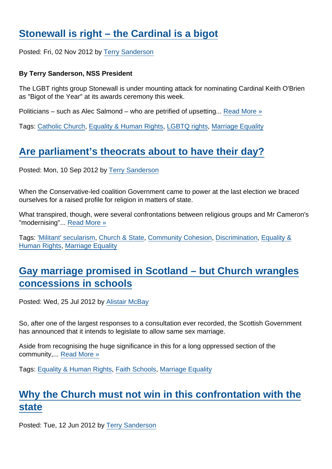# [Stonewall is right – the Cardinal is a bigot](https://www.secularism.org.uk/opinion/2012/11/stonewall-is-right-the-cardinal-is-a-bigot)

Posted: Fri, 02 Nov 2012 by [Terry Sanderson](https://www.secularism.org.uk/opinion/authors/850)

By Terry Sanderson, NSS President

The LGBT rights group Stonewall is under mounting attack for nominating Cardinal Keith O'Brien as "Bigot of the Year" at its awards ceremony this week.

Politicians – such as Alec Salmond – who are petrified of upsetting... [Read More »](https://www.secularism.org.uk/opinion/2012/11/stonewall-is-right-the-cardinal-is-a-bigot)

Tags: [Catholic Church,](https://www.secularism.org.uk/opinion/tags/Catholic+Church) [Equality & Human Rights,](https://www.secularism.org.uk/opinion/tags/Equality+&+Human+Rights) [LGBTQ rights,](https://www.secularism.org.uk/opinion/tags/LGBTQ+rights) [Marriage Equality](https://www.secularism.org.uk/opinion/tags/Marriage+Equality)

# [Are parliament's theocrats about to have their day?](https://www.secularism.org.uk/opinion/2012/09/are-parliaments-theocrats-about-to-have-their-day)

Posted: Mon, 10 Sep 2012 by [Terry Sanderson](https://www.secularism.org.uk/opinion/authors/850)

When the Conservative-led coalition Government came to power at the last election we braced ourselves for a raised profile for religion in matters of state.

What transpired, though, were several confrontations between religious groups and Mr Cameron's "modernising"... [Read More »](https://www.secularism.org.uk/opinion/2012/09/are-parliaments-theocrats-about-to-have-their-day)

Tags: ['Militant' secularism,](https://www.secularism.org.uk/opinion/tags/) [Church & State,](https://www.secularism.org.uk/opinion/tags/Church+&+State) [Community Cohesion](https://www.secularism.org.uk/opinion/tags/Community+Cohesion), [Discrimination](https://www.secularism.org.uk/opinion/tags/Discrimination), [Equality &](https://www.secularism.org.uk/opinion/tags/Equality+&+Human+Rights) [Human Rights](https://www.secularism.org.uk/opinion/tags/Equality+&+Human+Rights), [Marriage Equality](https://www.secularism.org.uk/opinion/tags/Marriage+Equality)

# [Gay marriage promised in Scotland – but Church wrangles](https://www.secularism.org.uk/opinion/2012/07/gay-marriage-promised-in-scotland-but-church-wrangles-concessions-in-schools) [concessions in schools](https://www.secularism.org.uk/opinion/2012/07/gay-marriage-promised-in-scotland-but-church-wrangles-concessions-in-schools)

Posted: Wed, 25 Jul 2012 by [Alistair McBay](https://www.secularism.org.uk/opinion/authors/853)

So, after one of the largest responses to a consultation ever recorded, the Scottish Government has announced that it intends to legislate to allow same sex marriage.

Aside from recognising the huge significance in this for a long oppressed section of the community,... [Read More »](https://www.secularism.org.uk/opinion/2012/07/gay-marriage-promised-in-scotland-but-church-wrangles-concessions-in-schools)

Tags: [Equality & Human Rights,](https://www.secularism.org.uk/opinion/tags/Equality+&+Human+Rights) [Faith Schools](https://www.secularism.org.uk/opinion/tags/Faith+Schools), [Marriage Equality](https://www.secularism.org.uk/opinion/tags/Marriage+Equality)

# [Why the Church must not win in this confrontation with the](https://www.secularism.org.uk/opinion/2012/06/why-the-church-must-not-win-in-this-confrontation-with-the-state) [state](https://www.secularism.org.uk/opinion/2012/06/why-the-church-must-not-win-in-this-confrontation-with-the-state)

Posted: Tue, 12 Jun 2012 by [Terry Sanderson](https://www.secularism.org.uk/opinion/authors/850)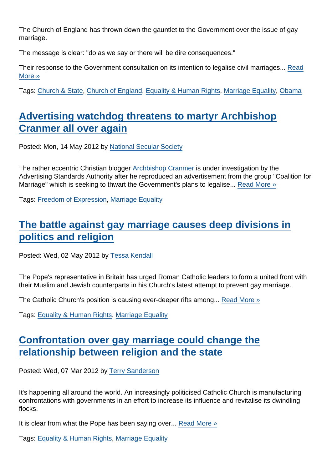The Church of England has thrown down the gauntlet to the Government over the issue of gay marriage.

The message is clear: "do as we say or there will be dire consequences."

Their response to the Government consultation on its intention to legalise civil marriages... [Read](https://www.secularism.org.uk/opinion/2012/06/why-the-church-must-not-win-in-this-confrontation-with-the-state) [More »](https://www.secularism.org.uk/opinion/2012/06/why-the-church-must-not-win-in-this-confrontation-with-the-state)

Tags: [Church & State,](https://www.secularism.org.uk/opinion/tags/Church+&+State) [Church of England,](https://www.secularism.org.uk/opinion/tags/Church+of+England) [Equality & Human Rights,](https://www.secularism.org.uk/opinion/tags/Equality+&+Human+Rights) [Marriage Equality,](https://www.secularism.org.uk/opinion/tags/Marriage+Equality) [Obama](https://www.secularism.org.uk/opinion/tags/Obama)

# [Advertising watchdog threatens to martyr Archbishop](https://www.secularism.org.uk/opinion/2012/05/advertising-watchdog-threatens-to-martyr-archbishop-cranmer-all-over-again) [Cranmer all over again](https://www.secularism.org.uk/opinion/2012/05/advertising-watchdog-threatens-to-martyr-archbishop-cranmer-all-over-again)

Posted: Mon, 14 May 2012 by [National Secular Society](https://www.secularism.org.uk/opinion/authors/855)

The rather eccentric Christian blogger [Archbishop Cranmer](http://archbishop-cranmer.blogspot.co.uk/) is under investigation by the Advertising Standards Authority after he reproduced an advertisement from the group "Coalition for Marriage" which is seeking to thwart the Government's plans to legalise... [Read More »](https://www.secularism.org.uk/opinion/2012/05/advertising-watchdog-threatens-to-martyr-archbishop-cranmer-all-over-again)

Tags: [Freedom of Expression](https://www.secularism.org.uk/opinion/tags/Freedom+of+Expression), [Marriage Equality](https://www.secularism.org.uk/opinion/tags/Marriage+Equality)

# [The battle against gay marriage causes deep divisions in](https://www.secularism.org.uk/opinion/2012/05/the-battle-against-gay-marriage-causes-deep-divisions-in-politics-and-religion) [politics and religion](https://www.secularism.org.uk/opinion/2012/05/the-battle-against-gay-marriage-causes-deep-divisions-in-politics-and-religion)

Posted: Wed, 02 May 2012 by [Tessa Kendall](https://www.secularism.org.uk/opinion/authors/869)

The Pope's representative in Britain has urged Roman Catholic leaders to form a united front with their Muslim and Jewish counterparts in his Church's latest attempt to prevent gay marriage.

The Catholic Church's position is causing ever-deeper rifts among... [Read More »](https://www.secularism.org.uk/opinion/2012/05/the-battle-against-gay-marriage-causes-deep-divisions-in-politics-and-religion)

Tags: [Equality & Human Rights,](https://www.secularism.org.uk/opinion/tags/Equality+&+Human+Rights) [Marriage Equality](https://www.secularism.org.uk/opinion/tags/Marriage+Equality)

# [Confrontation over gay marriage could change the](https://www.secularism.org.uk/opinion/2012/03/confrontation-over-gay-marriage-could-change-the-relationship-between-religion-and-the-state) [relationship between religion and the state](https://www.secularism.org.uk/opinion/2012/03/confrontation-over-gay-marriage-could-change-the-relationship-between-religion-and-the-state)

Posted: Wed, 07 Mar 2012 by [Terry Sanderson](https://www.secularism.org.uk/opinion/authors/850)

It's happening all around the world. An increasingly politicised Catholic Church is manufacturing confrontations with governments in an effort to increase its influence and revitalise its dwindling flocks.

It is clear from what the Pope has been saying over... [Read More »](https://www.secularism.org.uk/opinion/2012/03/confrontation-over-gay-marriage-could-change-the-relationship-between-religion-and-the-state)

Tags: [Equality & Human Rights,](https://www.secularism.org.uk/opinion/tags/Equality+&+Human+Rights) [Marriage Equality](https://www.secularism.org.uk/opinion/tags/Marriage+Equality)